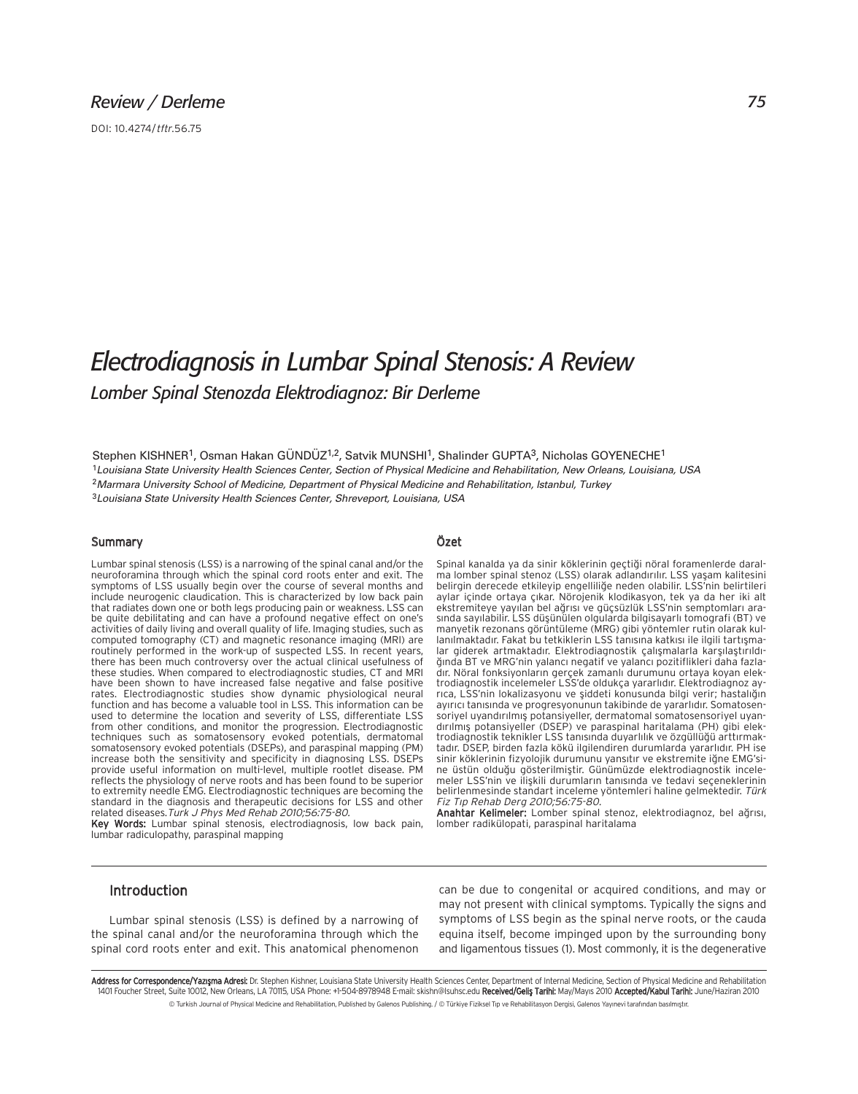## *Review / Derleme 75*

DOI: 10.4274/tftr.56.75

## *Electrodiagnosis in Lumbar Spinal Stenosis: A Review Lomber Spinal Stenozda Elektrodiagnoz: Bir Derleme*

Stephen KISHNER<sup>1</sup>, Osman Hakan GÜNDÜZ<sup>1,2</sup>, Satvik MUNSHI<sup>1</sup>, Shalinder GUPTA<sup>3</sup>, Nicholas GOYENECHE<sup>1</sup> <sup>1</sup>*Louisiana State University Health Sciences Center, Section of Physical Medicine and Rehabilitation, New Orleans, Louisiana, USA* <sup>2</sup>*Marmara University School of Medicine, Department of Physical Medicine and Rehabilitation, Istanbul, Turkey*

<sup>3</sup>*Louisiana State University Health Sciences Center, Shreveport, Louisiana, USA*

#### Summary

Lumbar spinal stenosis (LSS) is a narrowing of the spinal canal and/or the neuroforamina through which the spinal cord roots enter and exit. The symptoms of LSS usually begin over the course of several months and include neurogenic claudication. This is characterized by low back pain that radiates down one or both legs producing pain or weakness. LSS can be quite debilitating and can have a profound negative effect on one's activities of daily living and overall quality of life. Imaging studies, such as computed tomography (CT) and magnetic resonance imaging (MRI) are routinely performed in the work-up of suspected LSS. In recent years, there has been much controversy over the actual clinical usefulness of these studies. When compared to electrodiagnostic studies, CT and MRI have been shown to have increased false negative and false positive rates. Electrodiagnostic studies show dynamic physiological neural function and has become a valuable tool in LSS. This information can be used to determine the location and severity of LSS, differentiate LSS from other conditions, and monitor the progression. Electrodiagnostic techniques such as somatosensory evoked potentials, dermatomal somatosensory evoked potentials (DSEPs), and paraspinal mapping (PM) increase both the sensitivity and specificity in diagnosing LSS. DSEPs provide useful information on multi-level, multiple rootlet disease. PM reflects the physiology of nerve roots and has been found to be superior to extremity needle EMG. Electrodiagnostic techniques are becoming the standard in the diagnosis and therapeutic decisions for LSS and other related diseases.Turk J Phys Med Rehab 2010;56:75-80.

Key Words: Lumbar spinal stenosis, electrodiagnosis, low back pain, lumbar radiculopathy, paraspinal mapping

#### Özet

Spinal kanalda ya da sinir köklerinin geçtiği nöral foramenlerde daralma lomber spinal stenoz (LSS) olarak adlandırılır. LSS yaşam kalitesini belirgin derecede etkileyip engelliliğe neden olabilir. LSS'nin belirtileri aylar içinde ortaya çıkar. Nörojenik klodikasyon, tek ya da her iki alt ekstremiteye yayılan bel ağrısı ve güçsüzlük LSS'nin semptomları arasında sayılabilir. LSS düşünülen olgularda bilgisayarlı tomografi (BT) ve manyetik rezonans görüntüleme (MRG) gibi yöntemler rutin olarak kullanılmaktadır. Fakat bu tetkiklerin LSS tanısına katkısı ile ilgili tartışmalar giderek artmaktadır. Elektrodiagnostik çalışmalarla karşılaştırıldığında BT ve MRG'nin yalancı negatif ve yalancı pozitiflikleri daha fazladır. Nöral fonksiyonların gerçek zamanlı durumunu ortaya koyan elektrodiagnostik incelemeler LSS'de oldukça yararlıdır. Elektrodiagnoz ayrıca, LSS'nin lokalizasyonu ve şiddeti konusunda bilgi verir; hastalığın ayırıcı tanısında ve progresyonunun takibinde de yararlıdır. Somatosensoriyel uyandırılmış potansiyeller, dermatomal somatosensoriyel uyandırılmış potansiyeller (DSEP) ve paraspinal haritalama (PH) gibi elektrodiagnostik teknikler LSS tanısında duyarlılık ve özgüllüğü arttırmaktadır. DSEP, birden fazla kökü ilgilendiren durumlarda yararlıdır. PH ise sinir köklerinin fizyolojik durumunu yansıtır ve ekstremite iğne EMG'sine üstün olduğu gösterilmiştir. Günümüzde elektrodiagnostik incelemeler LSS'nin ve ilişkili durumların tanısında ve tedavi seçeneklerinin belirlenmesinde standart inceleme yöntemleri haline gelmektedir. Türk Fiz T›p Rehab Derg 2010;56:75-80.

Anahtar Kelimeler: Lomber spinal stenoz, elektrodiagnoz, bel ağrısı, lomber radikülopati, paraspinal haritalama

#### Introduction

Lumbar spinal stenosis (LSS) is defined by a narrowing of the spinal canal and/or the neuroforamina through which the spinal cord roots enter and exit. This anatomical phenomenon can be due to congenital or acquired conditions, and may or may not present with clinical symptoms. Typically the signs and symptoms of LSS begin as the spinal nerve roots, or the cauda equina itself, become impinged upon by the surrounding bony and ligamentous tissues (1). Most commonly, it is the degenerative

Address for Correspondence/Yazışma Adresi: Dr. Stephen Kishner, Louisiana State University Health Sciences Center, Department of Internal Medicine, Section of Physical Medicine and Rehabilitation 1401 Foucher Street, Suite 10012, New Orleans, LA 70115, USA Phone: +1-504-8978948 E-mail: skishn@lsuhsc.edu Received/Gelis Tarihi: May/Mayıs 2010 Accepted/Kabul Tarihi: June/Haziran 2010 © Turkish Journal of Physical Medicine and Rehabilitation, Published by Galenos Publishing. / © Türkiye Fiziksel Tip ve Rehabilitasyon Dergisi, Galenos Yayınevi tarafından basılmıştır.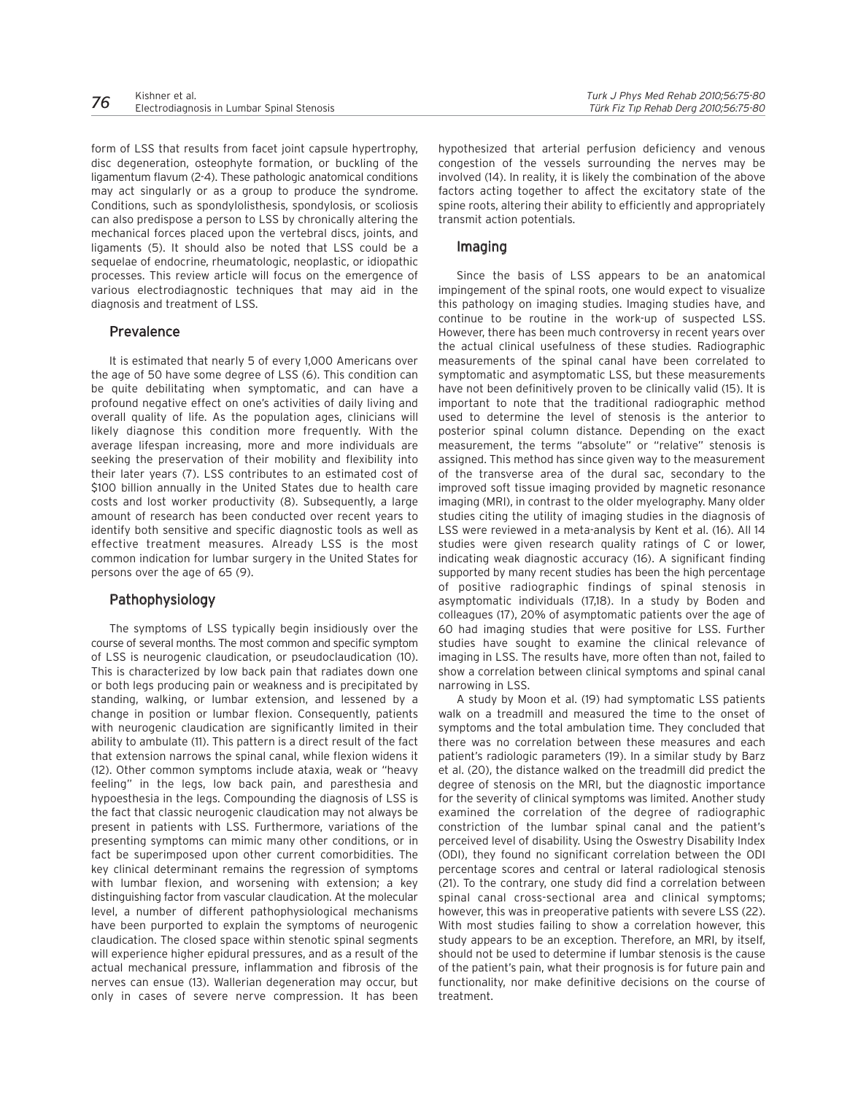form of LSS that results from facet joint capsule hypertrophy, disc degeneration, osteophyte formation, or buckling of the ligamentum flavum (2-4). These pathologic anatomical conditions may act singularly or as a group to produce the syndrome. Conditions, such as spondylolisthesis, spondylosis, or scoliosis can also predispose a person to LSS by chronically altering the mechanical forces placed upon the vertebral discs, joints, and ligaments (5). It should also be noted that LSS could be a sequelae of endocrine, rheumatologic, neoplastic, or idiopathic processes. This review article will focus on the emergence of various electrodiagnostic techniques that may aid in the diagnosis and treatment of LSS.

#### Prevalence

It is estimated that nearly 5 of every 1,000 Americans over the age of 50 have some degree of LSS (6). This condition can be quite debilitating when symptomatic, and can have a profound negative effect on one's activities of daily living and overall quality of life. As the population ages, clinicians will likely diagnose this condition more frequently. With the average lifespan increasing, more and more individuals are seeking the preservation of their mobility and flexibility into their later years (7). LSS contributes to an estimated cost of \$100 billion annually in the United States due to health care costs and lost worker productivity (8). Subsequently, a large amount of research has been conducted over recent years to identify both sensitive and specific diagnostic tools as well as effective treatment measures. Already LSS is the most common indication for lumbar surgery in the United States for persons over the age of 65 (9).

## Pathophysiology

The symptoms of LSS typically begin insidiously over the course of several months. The most common and specific symptom of LSS is neurogenic claudication, or pseudoclaudication (10). This is characterized by low back pain that radiates down one or both legs producing pain or weakness and is precipitated by standing, walking, or lumbar extension, and lessened by a change in position or lumbar flexion. Consequently, patients with neurogenic claudication are significantly limited in their ability to ambulate (11). This pattern is a direct result of the fact that extension narrows the spinal canal, while flexion widens it (12). Other common symptoms include ataxia, weak or "heavy feeling" in the legs, low back pain, and paresthesia and hypoesthesia in the legs. Compounding the diagnosis of LSS is the fact that classic neurogenic claudication may not always be present in patients with LSS. Furthermore, variations of the presenting symptoms can mimic many other conditions, or in fact be superimposed upon other current comorbidities. The key clinical determinant remains the regression of symptoms with lumbar flexion, and worsening with extension; a key distinguishing factor from vascular claudication. At the molecular level, a number of different pathophysiological mechanisms have been purported to explain the symptoms of neurogenic claudication. The closed space within stenotic spinal segments will experience higher epidural pressures, and as a result of the actual mechanical pressure, inflammation and fibrosis of the nerves can ensue (13). Wallerian degeneration may occur, but only in cases of severe nerve compression. It has been hypothesized that arterial perfusion deficiency and venous congestion of the vessels surrounding the nerves may be involved (14). In reality, it is likely the combination of the above factors acting together to affect the excitatory state of the spine roots, altering their ability to efficiently and appropriately transmit action potentials.

### Imaging

Since the basis of LSS appears to be an anatomical impingement of the spinal roots, one would expect to visualize this pathology on imaging studies. Imaging studies have, and continue to be routine in the work-up of suspected LSS. However, there has been much controversy in recent years over the actual clinical usefulness of these studies. Radiographic measurements of the spinal canal have been correlated to symptomatic and asymptomatic LSS, but these measurements have not been definitively proven to be clinically valid (15). It is important to note that the traditional radiographic method used to determine the level of stenosis is the anterior to posterior spinal column distance. Depending on the exact measurement, the terms "absolute" or "relative" stenosis is assigned. This method has since given way to the measurement of the transverse area of the dural sac, secondary to the improved soft tissue imaging provided by magnetic resonance imaging (MRI), in contrast to the older myelography. Many older studies citing the utility of imaging studies in the diagnosis of LSS were reviewed in a meta-analysis by Kent et al. (16). All 14 studies were given research quality ratings of C or lower, indicating weak diagnostic accuracy (16). A significant finding supported by many recent studies has been the high percentage of positive radiographic findings of spinal stenosis in asymptomatic individuals (17,18). In a study by Boden and colleagues (17), 20% of asymptomatic patients over the age of 60 had imaging studies that were positive for LSS. Further studies have sought to examine the clinical relevance of imaging in LSS. The results have, more often than not, failed to show a correlation between clinical symptoms and spinal canal narrowing in LSS.

A study by Moon et al. (19) had symptomatic LSS patients walk on a treadmill and measured the time to the onset of symptoms and the total ambulation time. They concluded that there was no correlation between these measures and each patient's radiologic parameters (19). In a similar study by Barz et al. (20), the distance walked on the treadmill did predict the degree of stenosis on the MRI, but the diagnostic importance for the severity of clinical symptoms was limited. Another study examined the correlation of the degree of radiographic constriction of the lumbar spinal canal and the patient's perceived level of disability. Using the Oswestry Disability Index (ODI), they found no significant correlation between the ODI percentage scores and central or lateral radiological stenosis (21). To the contrary, one study did find a correlation between spinal canal cross-sectional area and clinical symptoms; however, this was in preoperative patients with severe LSS (22). With most studies failing to show a correlation however, this study appears to be an exception. Therefore, an MRI, by itself, should not be used to determine if lumbar stenosis is the cause of the patient's pain, what their prognosis is for future pain and functionality, nor make definitive decisions on the course of treatment.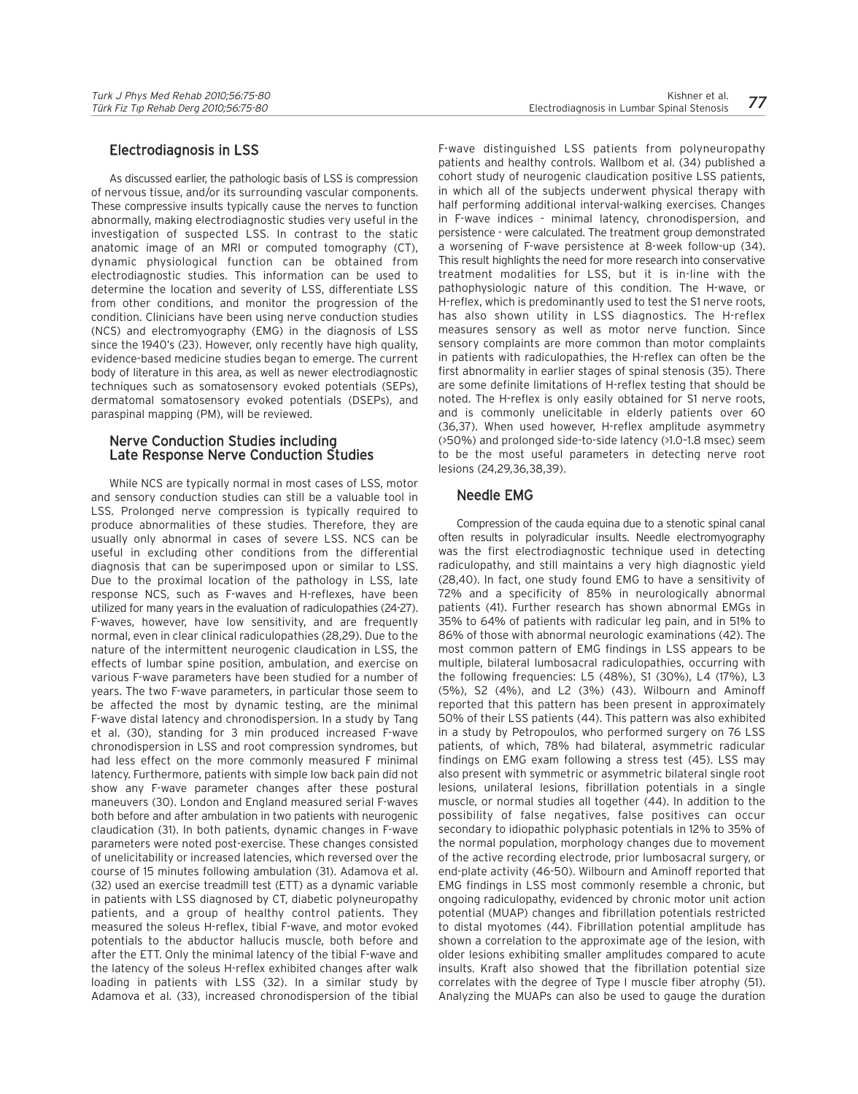## Electrodiagnosis in LSS

As discussed earlier, the pathologic basis of LSS is compression of nervous tissue, and/or its surrounding vascular components. These compressive insults typically cause the nerves to function abnormally, making electrodiagnostic studies very useful in the investigation of suspected LSS. In contrast to the static anatomic image of an MRI or computed tomography (CT), dynamic physiological function can be obtained from electrodiagnostic studies. This information can be used to determine the location and severity of LSS, differentiate LSS from other conditions, and monitor the progression of the condition. Clinicians have been using nerve conduction studies (NCS) and electromyography (EMG) in the diagnosis of LSS since the 1940's (23). However, only recently have high quality, evidence-based medicine studies began to emerge. The current body of literature in this area, as well as newer electrodiagnostic techniques such as somatosensory evoked potentials (SEPs), dermatomal somatosensory evoked potentials (DSEPs), and paraspinal mapping (PM), will be reviewed.

# Nerve Conduction Studies including Late Response Nerve Conduction Studies

While NCS are typically normal in most cases of LSS, motor and sensory conduction studies can still be a valuable tool in LSS. Prolonged nerve compression is typically required to produce abnormalities of these studies. Therefore, they are usually only abnormal in cases of severe LSS. NCS can be useful in excluding other conditions from the differential diagnosis that can be superimposed upon or similar to LSS. Due to the proximal location of the pathology in LSS, late response NCS, such as F-waves and H-reflexes, have been utilized for many years in the evaluation of radiculopathies (24-27). F-waves, however, have low sensitivity, and are frequently normal, even in clear clinical radiculopathies (28,29). Due to the nature of the intermittent neurogenic claudication in LSS, the effects of lumbar spine position, ambulation, and exercise on various F-wave parameters have been studied for a number of years. The two F-wave parameters, in particular those seem to be affected the most by dynamic testing, are the minimal F-wave distal latency and chronodispersion. In a study by Tang et al. (30), standing for 3 min produced increased F-wave chronodispersion in LSS and root compression syndromes, but had less effect on the more commonly measured F minimal latency. Furthermore, patients with simple low back pain did not show any F-wave parameter changes after these postural maneuvers (30). London and England measured serial F-waves both before and after ambulation in two patients with neurogenic claudication (31). In both patients, dynamic changes in F-wave parameters were noted post-exercise. These changes consisted of unelicitability or increased latencies, which reversed over the course of 15 minutes following ambulation (31). Adamova et al. (32) used an exercise treadmill test (ETT) as a dynamic variable in patients with LSS diagnosed by CT, diabetic polyneuropathy patients, and a group of healthy control patients. They measured the soleus H-reflex, tibial F-wave, and motor evoked potentials to the abductor hallucis muscle, both before and after the ETT. Only the minimal latency of the tibial F-wave and the latency of the soleus H-reflex exhibited changes after walk loading in patients with LSS (32). In a similar study by Adamova et al. (33), increased chronodispersion of the tibial

F-wave distinguished LSS patients from polyneuropathy patients and healthy controls. Wallbom et al. (34) published a cohort study of neurogenic claudication positive LSS patients, in which all of the subjects underwent physical therapy with half performing additional interval-walking exercises. Changes in F-wave indices - minimal latency, chronodispersion, and persistence - were calculated. The treatment group demonstrated a worsening of F-wave persistence at 8-week follow-up (34). This result highlights the need for more research into conservative treatment modalities for LSS, but it is in-line with the pathophysiologic nature of this condition. The H-wave, or H-reflex, which is predominantly used to test the S1 nerve roots, has also shown utility in LSS diagnostics. The H-reflex measures sensory as well as motor nerve function. Since sensory complaints are more common than motor complaints in patients with radiculopathies, the H-reflex can often be the first abnormality in earlier stages of spinal stenosis (35). There are some definite limitations of H-reflex testing that should be noted. The H-reflex is only easily obtained for S1 nerve roots, and is commonly unelicitable in elderly patients over 60 (36,37). When used however, H-reflex amplitude asymmetry (>50%) and prolonged side-to-side latency (>1.0–1.8 msec) seem to be the most useful parameters in detecting nerve root lesions (24,29,36,38,39).

## Needle EMG

Compression of the cauda equina due to a stenotic spinal canal often results in polyradicular insults. Needle electromyography was the first electrodiagnostic technique used in detecting radiculopathy, and still maintains a very high diagnostic yield (28,40). In fact, one study found EMG to have a sensitivity of 72% and a specificity of 85% in neurologically abnormal patients (41). Further research has shown abnormal EMGs in 35% to 64% of patients with radicular leg pain, and in 51% to 86% of those with abnormal neurologic examinations (42). The most common pattern of EMG findings in LSS appears to be multiple, bilateral lumbosacral radiculopathies, occurring with the following frequencies: L5 (48%), S1 (30%), L4 (17%), L3 (5%), S2 (4%), and L2 (3%) (43). Wilbourn and Aminoff reported that this pattern has been present in approximately 50% of their LSS patients (44). This pattern was also exhibited in a study by Petropoulos, who performed surgery on 76 LSS patients, of which, 78% had bilateral, asymmetric radicular findings on EMG exam following a stress test (45). LSS may also present with symmetric or asymmetric bilateral single root lesions, unilateral lesions, fibrillation potentials in a single muscle, or normal studies all together (44). In addition to the possibility of false negatives, false positives can occur secondary to idiopathic polyphasic potentials in 12% to 35% of the normal population, morphology changes due to movement of the active recording electrode, prior lumbosacral surgery, or end-plate activity (46-50). Wilbourn and Aminoff reported that EMG findings in LSS most commonly resemble a chronic, but ongoing radiculopathy, evidenced by chronic motor unit action potential (MUAP) changes and fibrillation potentials restricted to distal myotomes (44). Fibrillation potential amplitude has shown a correlation to the approximate age of the lesion, with older lesions exhibiting smaller amplitudes compared to acute insults. Kraft also showed that the fibrillation potential size correlates with the degree of Type I muscle fiber atrophy (51). Analyzing the MUAPs can also be used to gauge the duration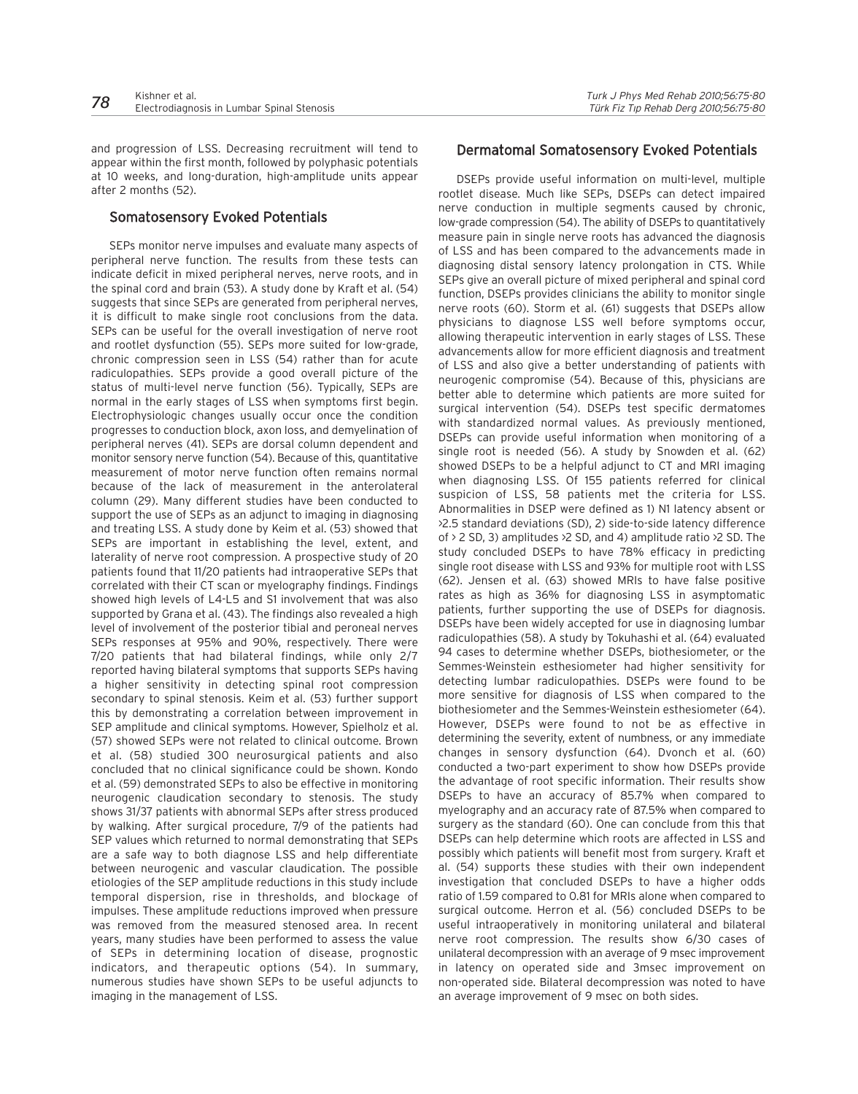and progression of LSS. Decreasing recruitment will tend to appear within the first month, followed by polyphasic potentials at 10 weeks, and long-duration, high-amplitude units appear after 2 months (52).

### Somatosensory Evoked Potentials

SEPs monitor nerve impulses and evaluate many aspects of peripheral nerve function. The results from these tests can indicate deficit in mixed peripheral nerves, nerve roots, and in the spinal cord and brain (53). A study done by Kraft et al. (54) suggests that since SEPs are generated from peripheral nerves, it is difficult to make single root conclusions from the data. SEPs can be useful for the overall investigation of nerve root and rootlet dysfunction (55). SEPs more suited for low-grade, chronic compression seen in LSS (54) rather than for acute radiculopathies. SEPs provide a good overall picture of the status of multi-level nerve function (56). Typically, SEPs are normal in the early stages of LSS when symptoms first begin. Electrophysiologic changes usually occur once the condition progresses to conduction block, axon loss, and demyelination of peripheral nerves (41). SEPs are dorsal column dependent and monitor sensory nerve function (54). Because of this, quantitative measurement of motor nerve function often remains normal because of the lack of measurement in the anterolateral column (29). Many different studies have been conducted to support the use of SEPs as an adjunct to imaging in diagnosing and treating LSS. A study done by Keim et al. (53) showed that SEPs are important in establishing the level, extent, and laterality of nerve root compression. A prospective study of 20 patients found that 11/20 patients had intraoperative SEPs that correlated with their CT scan or myelography findings. Findings showed high levels of L4-L5 and S1 involvement that was also supported by Grana et al. (43). The findings also revealed a high level of involvement of the posterior tibial and peroneal nerves SEPs responses at 95% and 90%, respectively. There were 7/20 patients that had bilateral findings, while only 2/7 reported having bilateral symptoms that supports SEPs having a higher sensitivity in detecting spinal root compression secondary to spinal stenosis. Keim et al. (53) further support this by demonstrating a correlation between improvement in SEP amplitude and clinical symptoms. However, Spielholz et al. (57) showed SEPs were not related to clinical outcome. Brown et al. (58) studied 300 neurosurgical patients and also concluded that no clinical significance could be shown. Kondo et al. (59) demonstrated SEPs to also be effective in monitoring neurogenic claudication secondary to stenosis. The study shows 31/37 patients with abnormal SEPs after stress produced by walking. After surgical procedure, 7/9 of the patients had SEP values which returned to normal demonstrating that SEPs are a safe way to both diagnose LSS and help differentiate between neurogenic and vascular claudication. The possible etiologies of the SEP amplitude reductions in this study include temporal dispersion, rise in thresholds, and blockage of impulses. These amplitude reductions improved when pressure was removed from the measured stenosed area. In recent years, many studies have been performed to assess the value of SEPs in determining location of disease, prognostic indicators, and therapeutic options (54). In summary, numerous studies have shown SEPs to be useful adjuncts to imaging in the management of LSS.

### Dermatomal Somatosensory Evoked Potentials

DSEPs provide useful information on multi-level, multiple rootlet disease. Much like SEPs, DSEPs can detect impaired nerve conduction in multiple segments caused by chronic, low-grade compression (54). The ability of DSEPs to quantitatively measure pain in single nerve roots has advanced the diagnosis of LSS and has been compared to the advancements made in diagnosing distal sensory latency prolongation in CTS. While SEPs give an overall picture of mixed peripheral and spinal cord function, DSEPs provides clinicians the ability to monitor single nerve roots (60). Storm et al. (61) suggests that DSEPs allow physicians to diagnose LSS well before symptoms occur, allowing therapeutic intervention in early stages of LSS. These advancements allow for more efficient diagnosis and treatment of LSS and also give a better understanding of patients with neurogenic compromise (54). Because of this, physicians are better able to determine which patients are more suited for surgical intervention (54). DSEPs test specific dermatomes with standardized normal values. As previously mentioned, DSEPs can provide useful information when monitoring of a single root is needed (56). A study by Snowden et al. (62) showed DSEPs to be a helpful adjunct to CT and MRI imaging when diagnosing LSS. Of 155 patients referred for clinical suspicion of LSS, 58 patients met the criteria for LSS. Abnormalities in DSEP were defined as 1) N1 latency absent or >2.5 standard deviations (SD), 2) side-to-side latency difference of > 2 SD, 3) amplitudes >2 SD, and 4) amplitude ratio >2 SD. The study concluded DSEPs to have 78% efficacy in predicting single root disease with LSS and 93% for multiple root with LSS (62). Jensen et al. (63) showed MRIs to have false positive rates as high as 36% for diagnosing LSS in asymptomatic patients, further supporting the use of DSEPs for diagnosis. DSEPs have been widely accepted for use in diagnosing lumbar radiculopathies (58). A study by Tokuhashi et al. (64) evaluated 94 cases to determine whether DSEPs, biothesiometer, or the Semmes-Weinstein esthesiometer had higher sensitivity for detecting lumbar radiculopathies. DSEPs were found to be more sensitive for diagnosis of LSS when compared to the biothesiometer and the Semmes-Weinstein esthesiometer (64). However, DSEPs were found to not be as effective in determining the severity, extent of numbness, or any immediate changes in sensory dysfunction (64). Dvonch et al. (60) conducted a two-part experiment to show how DSEPs provide the advantage of root specific information. Their results show DSEPs to have an accuracy of 85.7% when compared to myelography and an accuracy rate of 87.5% when compared to surgery as the standard (60). One can conclude from this that DSEPs can help determine which roots are affected in LSS and possibly which patients will benefit most from surgery. Kraft et al. (54) supports these studies with their own independent investigation that concluded DSEPs to have a higher odds ratio of 1.59 compared to 0.81 for MRIs alone when compared to surgical outcome. Herron et al. (56) concluded DSEPs to be useful intraoperatively in monitoring unilateral and bilateral nerve root compression. The results show 6/30 cases of unilateral decompression with an average of 9 msec improvement in latency on operated side and 3msec improvement on non-operated side. Bilateral decompression was noted to have an average improvement of 9 msec on both sides.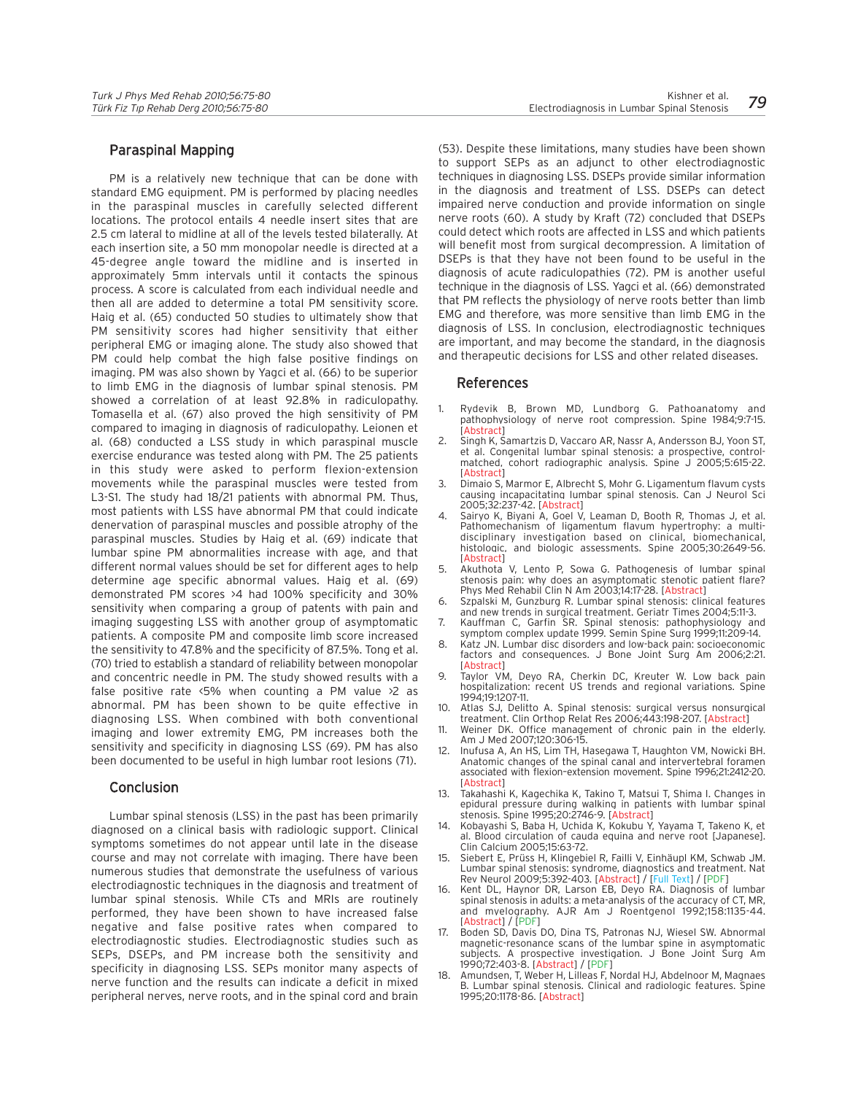#### Paraspinal Mapping

PM is a relatively new technique that can be done with standard EMG equipment. PM is performed by placing needles in the paraspinal muscles in carefully selected different locations. The protocol entails 4 needle insert sites that are 2.5 cm lateral to midline at all of the levels tested bilaterally. At each insertion site, a 50 mm monopolar needle is directed at a 45-degree angle toward the midline and is inserted in approximately 5mm intervals until it contacts the spinous process. A score is calculated from each individual needle and then all are added to determine a total PM sensitivity score. Haig et al. (65) conducted 50 studies to ultimately show that PM sensitivity scores had higher sensitivity that either peripheral EMG or imaging alone. The study also showed that PM could help combat the high false positive findings on imaging. PM was also shown by Yagci et al. (66) to be superior to limb EMG in the diagnosis of lumbar spinal stenosis. PM showed a correlation of at least 92.8% in radiculopathy. Tomasella et al. (67) also proved the high sensitivity of PM compared to imaging in diagnosis of radiculopathy. Leionen et al. (68) conducted a LSS study in which paraspinal muscle exercise endurance was tested along with PM. The 25 patients in this study were asked to perform flexion-extension movements while the paraspinal muscles were tested from L3-S1. The study had 18/21 patients with abnormal PM. Thus, most patients with LSS have abnormal PM that could indicate denervation of paraspinal muscles and possible atrophy of the paraspinal muscles. Studies by Haig et al. (69) indicate that lumbar spine PM abnormalities increase with age, and that different normal values should be set for different ages to help determine age specific abnormal values. Haig et al. (69) demonstrated PM scores >4 had 100% specificity and 30% sensitivity when comparing a group of patents with pain and imaging suggesting LSS with another group of asymptomatic patients. A composite PM and composite limb score increased the sensitivity to 47.8% and the specificity of 87.5%. Tong et al. (70) tried to establish a standard of reliability between monopolar and concentric needle in PM. The study showed results with a false positive rate  $5\%$  when counting a PM value  $\ge$  as abnormal. PM has been shown to be quite effective in diagnosing LSS. When combined with both conventional imaging and lower extremity EMG, PM increases both the sensitivity and specificity in diagnosing LSS (69). PM has also been documented to be useful in high lumbar root lesions (71).

#### Conclusion

Lumbar spinal stenosis (LSS) in the past has been primarily diagnosed on a clinical basis with radiologic support. Clinical symptoms sometimes do not appear until late in the disease course and may not correlate with imaging. There have been numerous studies that demonstrate the usefulness of various electrodiagnostic techniques in the diagnosis and treatment of lumbar spinal stenosis. While CTs and MRIs are routinely performed, they have been shown to have increased false negative and false positive rates when compared to electrodiagnostic studies. Electrodiagnostic studies such as SEPs, DSEPs, and PM increase both the sensitivity and specificity in diagnosing LSS. SEPs monitor many aspects of nerve function and the results can indicate a deficit in mixed peripheral nerves, nerve roots, and in the spinal cord and brain

(53). Despite these limitations, many studies have been shown to support SEPs as an adjunct to other electrodiagnostic techniques in diagnosing LSS. DSEPs provide similar information in the diagnosis and treatment of LSS. DSEPs can detect impaired nerve conduction and provide information on single nerve roots (60). A study by Kraft (72) concluded that DSEPs could detect which roots are affected in LSS and which patients will benefit most from surgical decompression. A limitation of DSEPs is that they have not been found to be useful in the diagnosis of acute radiculopathies (72). PM is another useful technique in the diagnosis of LSS. Yagci et al. (66) demonstrated that PM reflects the physiology of nerve roots better than limb EMG and therefore, was more sensitive than limb EMG in the diagnosis of LSS. In conclusion, electrodiagnostic techniques are important, and may become the standard, in the diagnosis and therapeutic decisions for LSS and other related diseases.

#### References

- 1. Rydevik B, Brown MD, Lundborg G. Pathoanatomy and pathophysiology of nerve root compression. Spine 1984;9:7-15. [\[Abstract\]](http://journals.lww.com/spinejournal/Abstract/1984/01000/Pathoanatomy_and_Pathophysiology_of_Nerve_Root.4.aspx)
- Singh K, Samartzis D, Vaccaro AR, Nassr A, Andersson BJ, Yoon ST, et al. Congenital lumbar spinal stenosis: a prospective, controlmatched, cohort radiographic analysis. Spine J 2005;5:615-22. Abstract<sub>1</sub>
- 3. Dimaio S, Marmor E, Albrecht S, Mohr G. Ligamentum flavum cysts causing incapacitating lumbar spinal stenosis. Can J Neurol Sci 2005;32:237-42. [\[Abstract\]](http://www.ncbi.nlm.nih.gov/sites/entrez)
- Sairyo K, Biyani A, Goel V, Leaman D, Booth R, Thomas J, et al. Pathomechanism of ligamentum flavum hypertrophy: a multidisciplinary investigation based on clinical, biomechanical, histologic, and biologic assessments. Spine 2005;30:2649-56. [\[Abstract\]](http://journals.lww.com/spinejournal/Abstract/2005/12010/Pathomechanism_of_Ligamentum_Flavum_Hypertrophy__A.10.aspx)
- 5. Akuthota V, Lento P, Sowa G. Pathogenesis of lumbar spinal stenosis pain: why does an asymptomatic stenotic patient flare? Phys Med Rehabil Clin N Am 2003;14:17-28. [\[Abstract\]](http://www.ncbi.nlm.nih.gov/sites/entrez)
- 6. Szpalski M, Gunzburg R. Lumbar spinal stenosis: clinical features and new trends in surgical treatment. Geriatr Times 2004;5:11-3.
- 7. Kauffman C, Garfin SR. Spinal stenosis: pathophysiology and symptom complex update 1999. Semin Spine Surg 1999;11:209-14.
- 8. Katz JN. Lumbar disc disorders and low-back pain: socioeconomic factors and consequences. J Bone Joint Surg Am 2006;2:21. [\[Abstract\]](http://www.ncbi.nlm.nih.gov/pubmed/16595438)
- Taylor VM, Deyo RA, Cherkin DC, Kreuter W. Low back pain hospitalization: recent US trends and regional variations. Spine 1994;19:1207-11.
- 10. Atlas SJ, Delitto A. Spinal stenosis: surgical versus nonsurgical treatment. Clin Orthop Relat Res 2006;443:198-207. [\[Abstract\]](http://www.ncbi.nlm.nih.gov/pubmed/16462443)
- 11. Weiner DK. Office management of chronic pain in the elderly. Am J Med 2007;120:306-15.
- 12. Inufusa A, An HS, Lim TH, Hasegawa T, Haughton VM, Nowicki BH. Anatomic changes of the spinal canal and intervertebral foramen associated with flexion–extension movement. Spine 1996;21:2412-20. [\[Abstract\]](http://journals.lww.com/spinejournal/Abstract/1996/11010/Anatomic_Changes_of_the_Spinal_Canal_and.2.aspx)
- 13. Takahashi K, Kagechika K, Takino T, Matsui T, Shima I. Changes in epidural pressure during walking in patients with lumbar spinal stenosis. Spine 1995;20:2746-9. [\[Abstract\]](http://journals.lww.com/spinejournal/Abstract/1995/12150/Changes_in_Epidural_Pressure_During_Walking_in.17.aspx)
- 14. Kobayashi S, Baba H, Uchida K, Kokubu Y, Yayama T, Takeno K, et al. Blood circulation of cauda equina and nerve root [Japanese]. Clin Calcium 2005;15:63-72.
- 15. Siebert E, Prüss H, Klingebiel R, Failli V, Einhäupl KM, Schwab JM. Lumbar spinal stenosis: syndrome, diagnostics and treatment. Nat Rev Neurol 2009;5:392-403. [\[Abstract\]](http://www.nature.com/nrneurol/journal/v5/n7/abs/nrneurol.2009.90.html) / [[Full Text](http://www.nature.com/nrneurol/journal/v5/n7/full/nrneurol.2009.90.html)] / [\[PDF\]](http://www.nature.com/nrneurol/journal/v5/n7/pdf/nrneurol.2009.90.pdf)
- 16. Kent DL, Haynor DR, Larson EB, Deyo RA. Diagnosis of lumbar spinal stenosis in adults: a meta-analysis of the accuracy of CT, MR, and myelography. AJR Am J Roentgenol 1992;158:1135-44. [\[Abstract\]](http://www.ncbi.nlm.nih.gov/sites/entrez) / [\[PDF\]](http://www.ajronline.org/cgi/reprint/158/5/1135)
- Boden SD, Davis DO, Dina TS, Patronas NJ, Wiesel SW. Abnormal magnetic-resonance scans of the lumbar spine in asymptomatic subjects. A prospective investigation. J Bone Joint Surg Am 1990;72:403-8. [\[Abstract\]](http://www.ejbjs.org/cgi/content/abstract/72/3/403) / [\[PDF\]](http://www.ejbjs.org/cgi/reprint/72/3/403)
- Amundsen, T, Weber H, Lilleas F, Nordal HJ, Abdelnoor M, Magnaes B. Lumbar spinal stenosis. Clinical and radiologic features. Spine 1995;20:1178-86. [\[Abstract\]](http://journals.lww.com/spinejournal/Abstract/1995/05150/Lumbar_Spinal_Stenosis__Clinical_and_Radiologic.13.aspx)